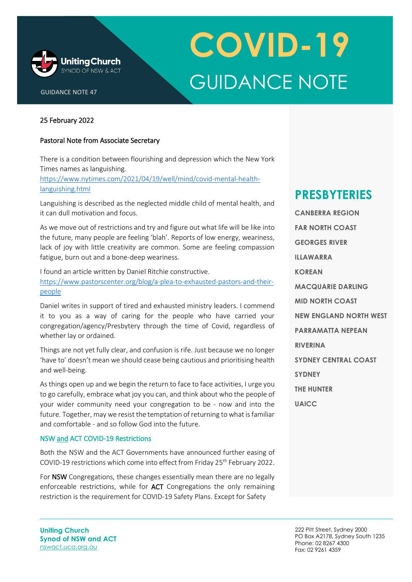

# **COVID-19** GUIDANCE NOTE

### 25 February 2022

GUIDANCE NOTE 47

#### Pastoral Note from Associate Secretary

There is a condition between flourishing and depression which the New York Times names as languishing.

[https://www.nytimes.com/2021/04/19/well/mind/covid-mental-health](https://www.nytimes.com/2021/04/19/well/mind/covid-mental-health-languishing.html)[languishing.html](https://www.nytimes.com/2021/04/19/well/mind/covid-mental-health-languishing.html) 

Languishing is described as the neglected middle child of mental health, and it can dull motivation and focus.

As we move out of restrictions and try and figure out what life will be like into the future, many people are feeling 'blah'. Reports of low energy, weariness, lack of joy with little creativity are common. Some are feeling compassion fatigue, burn out and a bone-deep weariness.

I found an article written by Daniel Ritchie constructive. [https://www.pastorscenter.org/blog/a-plea-to-exhausted-pastors-and-their](https://www.pastorscenter.org/blog/a-plea-to-exhausted-pastors-and-their-people)[people](https://www.pastorscenter.org/blog/a-plea-to-exhausted-pastors-and-their-people)

Daniel writes in support of tired and exhausted ministry leaders. I commend it to you as a way of caring for the people who have carried your congregation/agency/Presbytery through the time of Covid, regardless of whether lay or ordained.

Things are not yet fully clear, and confusion is rife. Just because we no longer 'have to' doesn't mean we should cease being cautious and prioritising health and well-being.

As things open up and we begin the return to face to face activities, I urge you to go carefully, embrace what joy you can, and think about who the people of your wider community need your congregation to be - now and into the future. Together, may we resist the temptation of returning to what is familiar and comfortable - and so follow God into the future.

#### NSW and ACT COVID-19 Restrictions

Both the NSW and the ACT Governments have announced further easing of COVID-19 restrictions which come into effect from Friday 25<sup>th</sup> February 2022.

For NSW Congregations, these changes essentially mean there are no legally enforceable restrictions, while for **ACT** Congregations the only remaining restriction is the requirement for COVID-19 Safety Plans. Except for Safety

### **PRESBYTERIES**

**CANBERRA REGION FAR NORTH COAST GEORGES RIVER ILLAWARRA KOREAN MACQUARIE DARLING MID NORTH COAST NEW ENGLAND NORTH WEST PARRAMATTA NEPEAN RIVERINA SYDNEY CENTRAL COAST SYDNEY THE HUNTER UAICC**

**Uniting Church Synod of NSW and ACT** [nswact.uca.org.au](http://www.nswact.uca.org.au/)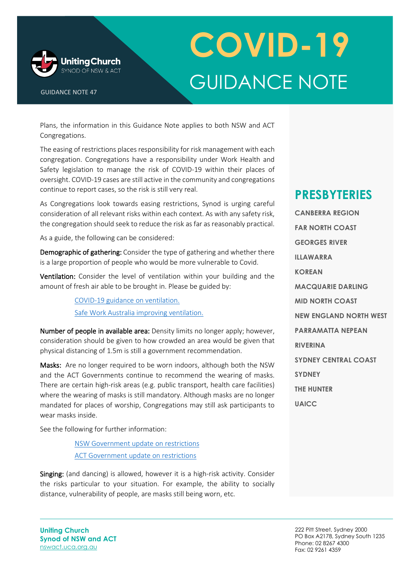

GUIDANCE NOTE 47

## **COVID-19** GUIDANCE NOTE

Plans, the information in this Guidance Note applies to both NSW and ACT Congregations.

The easing of restrictions places responsibility for risk management with each congregation. Congregations have a responsibility under Work Health and Safety legislation to manage the risk of COVID-19 within their places of oversight. COVID-19 cases are still active in the community and congregations continue to report cases, so the risk is still very real.

As Congregations look towards easing restrictions, Synod is urging careful consideration of all relevant risks within each context. As with any safety risk, the congregation should seek to reduce the risk as far as reasonably practical.

As a guide, the following can be considered:

Demographic of gathering: Consider the type of gathering and whether there is a large proportion of people who would be more vulnerable to Covid.

Ventilation: Consider the level of ventilation within your building and the amount of fresh air able to be brought in. Please be guided by:

> [COVID-19 guidance on ventilation.](https://www.nsw.gov.au/covid-19/business/covid-safe-business/ventilation) [Safe Work Australia improving ventilation.](https://covid19.swa.gov.au/doc/improving-ventilation-indoor-workplaces-covid-19)

Number of people in available area: Density limits no longer apply: however, consideration should be given to how crowded an area would be given that physical distancing of 1.5m is still a government recommendation.

Masks: Are no longer required to be worn indoors, although both the NSW and the ACT Governments continue to recommend the wearing of masks. There are certain high-risk areas (e.g. public transport, health care facilities) where the wearing of masks is still mandatory. Although masks are no longer mandated for places of worship, Congregations may still ask participants to wear masks inside.

See the following for further information:

[NSW Government update on restrictions](https://www.nsw.gov.au/media-releases/nsw-government-update-to-covid-19-settings) [ACT Government update on restrictions](https://www.covid19.act.gov.au/news-articles/mandatory-mask-requirements-ease-in-the-territory)

Singing: (and dancing) is allowed, however it is a high-risk activity. Consider the risks particular to your situation. For example, the ability to socially distance, vulnerability of people, are masks still being worn, etc.

### **PRESBYTERIES**

**CANBERRA REGION FAR NORTH COAST GEORGES RIVER ILLAWARRA KOREAN MACQUARIE DARLING MID NORTH COAST NEW ENGLAND NORTH WEST PARRAMATTA NEPEAN RIVERINA SYDNEY CENTRAL COAST SYDNEY THE HUNTER UAICC**

**Uniting Church Synod of NSW and ACT** [nswact.uca.org.au](http://www.nswact.uca.org.au/)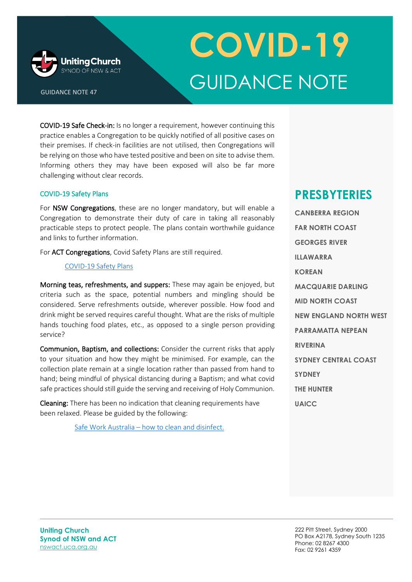

GUIDANCE NOTE 47

## **COVID-19** GUIDANCE NOTE

COVID-19 Safe Check-in: Is no longer a requirement, however continuing this practice enables a Congregation to be quickly notified of all positive cases on their premises. If check-in facilities are not utilised, then Congregations will be relying on those who have tested positive and been on site to advise them. Informing others they may have been exposed will also be far more challenging without clear records.

#### COVID-19 Safety Plans

For NSW Congregations, these are no longer mandatory, but will enable a Congregation to demonstrate their duty of care in taking all reasonably practicable steps to protect people. The plans contain worthwhile guidance and links to further information.

For ACT Congregations, Covid Safety Plans are still required.

#### [COVID-19 Safety Plans](https://www.nsw.gov.au/covid-19/business/safety-plans)

Morning teas, refreshments, and suppers: These may again be enjoyed, but criteria such as the space, potential numbers and mingling should be considered. Serve refreshments outside, wherever possible. How food and drink might be served requires careful thought. What are the risks of multiple hands touching food plates, etc., as opposed to a single person providing service?

Communion, Baptism, and collections: Consider the current risks that apply to your situation and how they might be minimised. For example, can the collection plate remain at a single location rather than passed from hand to hand; being mindful of physical distancing during a Baptism; and what covid safe practices should still guide the serving and receiving of Holy Communion.

Cleaning: There has been no indication that cleaning requirements have been relaxed. Please be guided by the following:

Safe Work Australia – [how to clean and disinfect.](https://covid19.swa.gov.au/doc/how-clean-and-disinfect-your-workplace-covid-19)

### **PRESBYTERIES**

**CANBERRA REGION FAR NORTH COAST GEORGES RIVER ILLAWARRA KOREAN MACQUARIE DARLING MID NORTH COAST NEW ENGLAND NORTH WEST PARRAMATTA NEPEAN RIVERINA SYDNEY CENTRAL COAST SYDNEY THE HUNTER UAICC**

**Uniting Church Synod of NSW and ACT** [nswact.uca.org.au](http://www.nswact.uca.org.au/)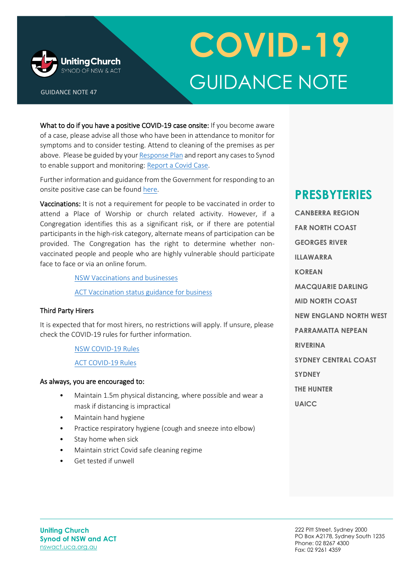

GUIDANCE NOTE 47

# **COVID-19** GUIDANCE NOTE

What to do if you have a positive COVID-19 case onsite: If you become aware of a case, please advise all those who have been in attendance to monitor for symptoms and to consider testing. Attend to cleaning of the premises as per above. Please be guided by you[r Response Plan](https://nswact.uca.org.au/media/11139/covid-19-response-plan.pdf) and report any cases to Synod to enable support and monitoring: [Report a Covid Case.](https://au.promapp.com/ucanswact/Incident/Create/C3y6BEiAWTgQN0Z9QCYcOX)

Further information and guidance from the Government for responding to an onsite positive case can be found [here.](https://www.nsw.gov.au/covid-19/business/linked-with-positive-worker-case)

Vaccinations: It is not a requirement for people to be vaccinated in order to attend a Place of Worship or church related activity. However, if a Congregation identifies this as a significant risk, or if there are potential participants in the high-risk category, alternate means of participation can be provided. The Congregation has the right to determine whether nonvaccinated people and people who are highly vulnerable should participate face to face or via an online forum.

[NSW Vaccinations and businesses](https://www.nsw.gov.au/covid-19/business/covid-19-vaccinations-and-businesses)

[ACT Vaccination status guidance](https://www.act.gov.au/business/keeping-your-business-covid-safe/vaccination-status-guidance-for-business) for business

#### Third Party Hirers

It is expected that for most hirers, no restrictions will apply. If unsure, please check the COVID-19 rules for further information.

#### [NSW COVID-19 Rules](https://www.nsw.gov.au/covid-19/stay-safe/rules)

[ACT COVID-19 Rules](https://www.covid19.act.gov.au/restrictions/current-restrictions)

#### As always, you are encouraged to:

- Maintain 1.5m physical distancing, where possible and wear a mask if distancing is impractical
- Maintain hand hygiene
- Practice respiratory hygiene (cough and sneeze into elbow)
- Stay home when sick
- Maintain strict Covid safe cleaning regime
- Get tested if unwell

### **PRESBYTERIES**

**CANBERRA REGION FAR NORTH COAST GEORGES RIVER ILLAWARRA KOREAN MACQUARIE DARLING MID NORTH COAST NEW ENGLAND NORTH WEST PARRAMATTA NEPEAN RIVERINA SYDNEY CENTRAL COAST SYDNEY THE HUNTER UAICC**

**Uniting Church Synod of NSW and ACT** [nswact.uca.org.au](http://www.nswact.uca.org.au/)